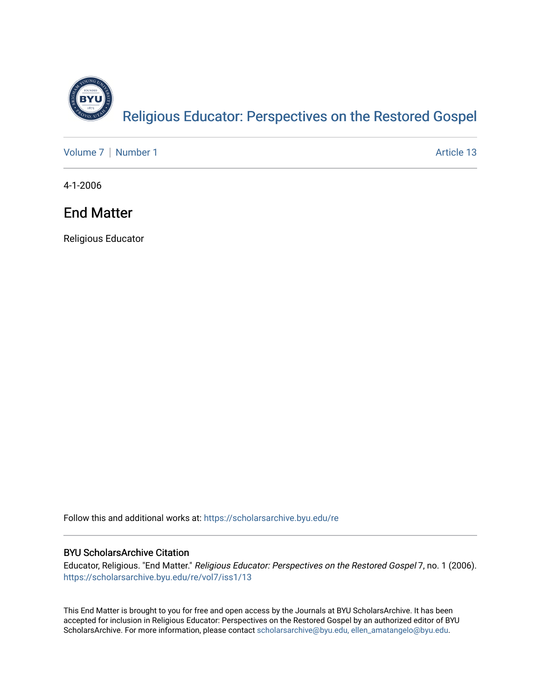

[Volume 7](https://scholarsarchive.byu.edu/re/vol7) | [Number 1](https://scholarsarchive.byu.edu/re/vol7/iss1) Article 13

4-1-2006

# End Matter

Religious Educator

Follow this and additional works at: [https://scholarsarchive.byu.edu/re](https://scholarsarchive.byu.edu/re?utm_source=scholarsarchive.byu.edu%2Fre%2Fvol7%2Fiss1%2F13&utm_medium=PDF&utm_campaign=PDFCoverPages)

#### BYU ScholarsArchive Citation

Educator, Religious. "End Matter." Religious Educator: Perspectives on the Restored Gospel 7, no. 1 (2006). [https://scholarsarchive.byu.edu/re/vol7/iss1/13](https://scholarsarchive.byu.edu/re/vol7/iss1/13?utm_source=scholarsarchive.byu.edu%2Fre%2Fvol7%2Fiss1%2F13&utm_medium=PDF&utm_campaign=PDFCoverPages) 

This End Matter is brought to you for free and open access by the Journals at BYU ScholarsArchive. It has been accepted for inclusion in Religious Educator: Perspectives on the Restored Gospel by an authorized editor of BYU ScholarsArchive. For more information, please contact [scholarsarchive@byu.edu, ellen\\_amatangelo@byu.edu.](mailto:scholarsarchive@byu.edu,%20ellen_amatangelo@byu.edu)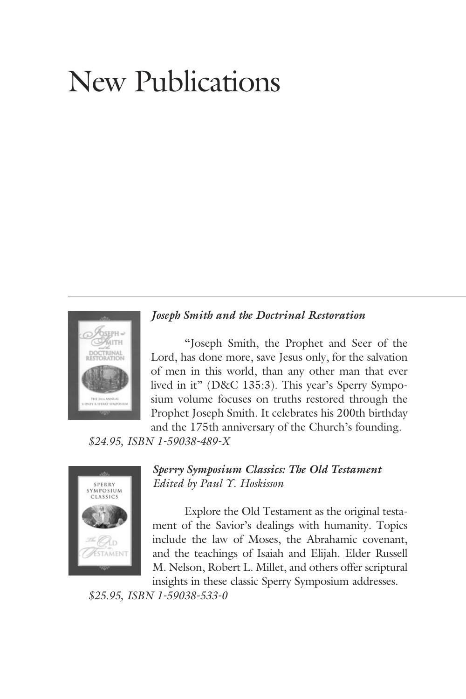# New Publications



*Joseph Smith and the Doctrinal Restoration*

 "Joseph Smith, the Prophet and Seer of the Lord, has done more, save Jesus only, for the salvation of men in this world, than any other man that ever lived in it" (D&C 135:3). This year's Sperry Symposium volume focuses on truths restored through the Prophet Joseph Smith. It celebrates his 200th birthday

and the 175th anniversary of the Church's founding.

*\$24.95, ISBN 1-59038-489-X*



*Sperry Symposium Classics: The Old Testament Edited by Paul Y. Hoskisson*

 Explore the Old Testament as the original testament of the Savior's dealings with humanity. Topics include the law of Moses, the Abrahamic covenant, and the teachings of Isaiah and Elijah. Elder Russell M. Nelson, Robert L. Millet, and others offer scriptural insights in these classic Sperry Symposium addresses.

*\$25.95, ISBN 1-59038-533-0*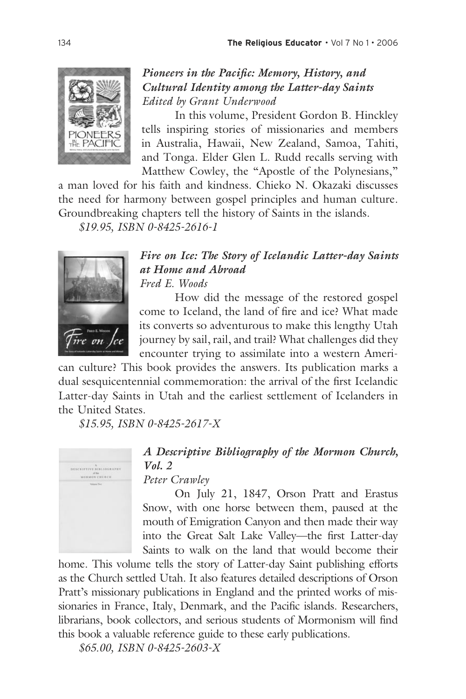

#### *Pioneers in the Pacific: Memory, History, and Cultural Identity among the Latter-day Saints Edited by Grant Underwood*

 In this volume, President Gordon B. Hinckley tells inspiring stories of missionaries and members in Australia, Hawaii, New Zealand, Samoa, Tahiti, and Tonga. Elder Glen L. Rudd recalls serving with Matthew Cowley, the "Apostle of the Polynesians,"

a man loved for his faith and kindness. Chieko N. Okazaki discusses the need for harmony between gospel principles and human culture. Groundbreaking chapters tell the history of Saints in the islands.

 *\$19.95, ISBN 0-8425-2616-1*



*Fire on Ice: The Story of Icelandic Latter-day Saints at Home and Abroad Fred E. Woods*

 How did the message of the restored gospel come to Iceland, the land of fire and ice? What made its converts so adventurous to make this lengthy Utah journey by sail, rail, and trail? What challenges did they encounter trying to assimilate into a western Ameri-

can culture? This book provides the answers. Its publication marks a dual sesquicentennial commemoration: the arrival of the first Icelandic Latter-day Saints in Utah and the earliest settlement of Icelanders in the United States.

*\$15.95, ISBN 0-8425-2617-X*



*A Descriptive Bibliography of the Mormon Church, Vol. 2*

*Peter Crawley*

 On July 21, 1847, Orson Pratt and Erastus Snow, with one horse between them, paused at the mouth of Emigration Canyon and then made their way into the Great Salt Lake Valley—the first Latter-day Saints to walk on the land that would become their

home. This volume tells the story of Latter-day Saint publishing efforts as the Church settled Utah. It also features detailed descriptions of Orson Pratt's missionary publications in England and the printed works of missionaries in France, Italy, Denmark, and the Pacific islands. Researchers, librarians, book collectors, and serious students of Mormonism will find this book a valuable reference guide to these early publications.

*\$65.00, ISBN 0-8425-2603-X*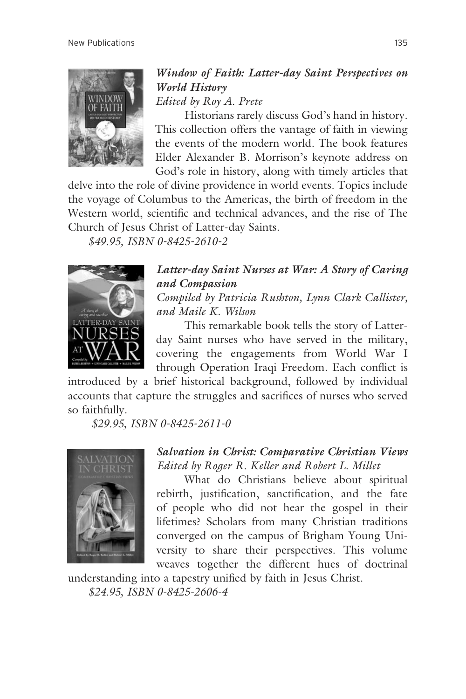

## *Window of Faith: Latter-day Saint Perspectives on World History*

*Edited by Roy A. Prete*

 Historians rarely discuss God's hand in history. This collection offers the vantage of faith in viewing the events of the modern world. The book features Elder Alexander B. Morrison's keynote address on God's role in history, along with timely articles that

delve into the role of divine providence in world events. Topics include the voyage of Columbus to the Americas, the birth of freedom in the Western world, scientific and technical advances, and the rise of The Church of Jesus Christ of Latter-day Saints.

*\$49.95, ISBN 0-8425-2610-2*



### *Latter-day Saint Nurses at War: A Story of Caring and Compassion*

*Compiled by Patricia Rushton, Lynn Clark Callister, and Maile K. Wilson*

 This remarkable book tells the story of Latterday Saint nurses who have served in the military, covering the engagements from World War I through Operation Iraqi Freedom. Each conflict is

introduced by a brief historical background, followed by individual accounts that capture the struggles and sacrifices of nurses who served so faithfully.

 *\$29.95, ISBN 0-8425-2611-0*



#### *Salvation in Christ: Comparative Christian Views Edited by Roger R. Keller and Robert L. Millet*

 What do Christians believe about spiritual rebirth, justification, sanctification, and the fate of people who did not hear the gospel in their lifetimes? Scholars from many Christian traditions converged on the campus of Brigham Young University to share their perspectives. This volume weaves together the different hues of doctrinal

understanding into a tapestry unified by faith in Jesus Christ. *\$24.95, ISBN 0-8425-2606-4*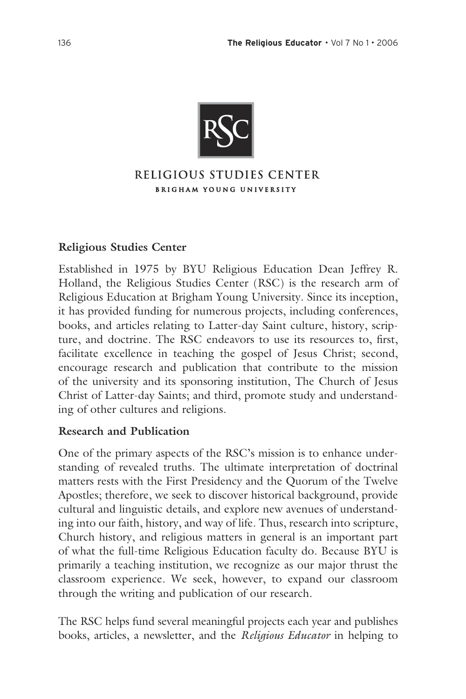

#### RELIGIOUS STUDIES CENTER **BRIGHAM YOUNG UNIVERSITY**

#### **Religious Studies Center**

Established in 1975 by BYU Religious Education Dean Jeffrey R. Holland, the Religious Studies Center (RSC) is the research arm of Religious Education at Brigham Young University. Since its inception, it has provided funding for numerous projects, including conferences, books, and articles relating to Latter-day Saint culture, history, scripture, and doctrine. The RSC endeavors to use its resources to, first, facilitate excellence in teaching the gospel of Jesus Christ; second, encourage research and publication that contribute to the mission of the university and its sponsoring institution, The Church of Jesus Christ of Latter-day Saints; and third, promote study and understanding of other cultures and religions.

#### **Research and Publication**

One of the primary aspects of the RSC's mission is to enhance understanding of revealed truths. The ultimate interpretation of doctrinal matters rests with the First Presidency and the Quorum of the Twelve Apostles; therefore, we seek to discover historical background, provide cultural and linguistic details, and explore new avenues of understanding into our faith, history, and way of life. Thus, research into scripture, Church history, and religious matters in general is an important part of what the full-time Religious Education faculty do. Because BYU is primarily a teaching institution, we recognize as our major thrust the classroom experience. We seek, however, to expand our classroom through the writing and publication of our research.

The RSC helps fund several meaningful projects each year and publishes books, articles, a newsletter, and the *Religious Educator* in helping to